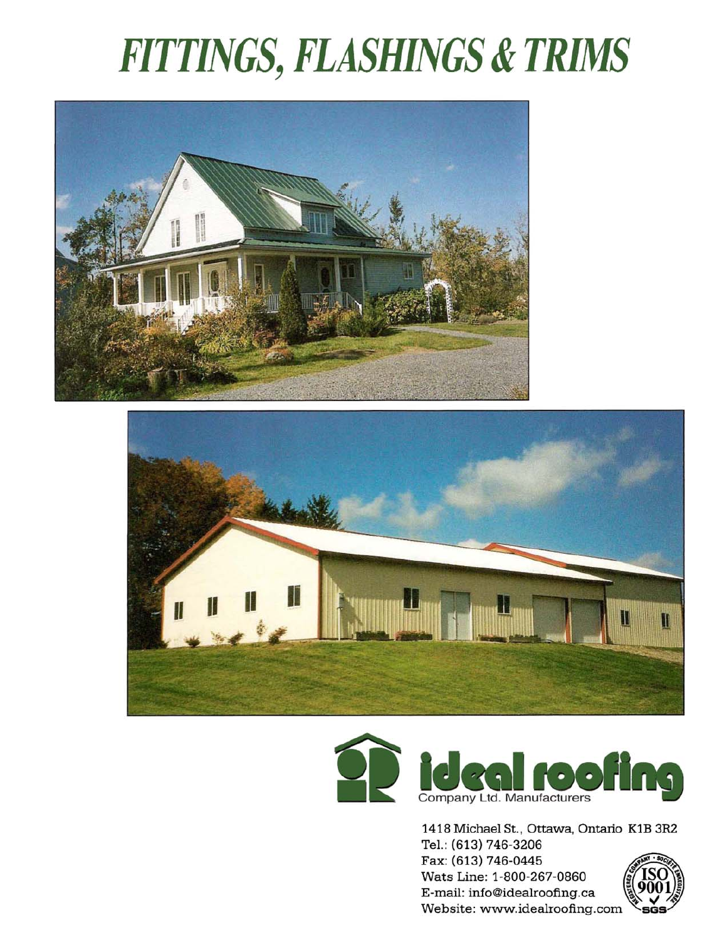# **FITTINGS, FLASHINGS & TRIMS**







1418 Michael St., Ottawa, Ontario K1B 3R2 Tel.: (613) 746-3206 Fax: (613) 746-0445 Wats Line: 1-800-267-0860 E-mail: info@idealroofing.ca

Website: www.idealroofing.com

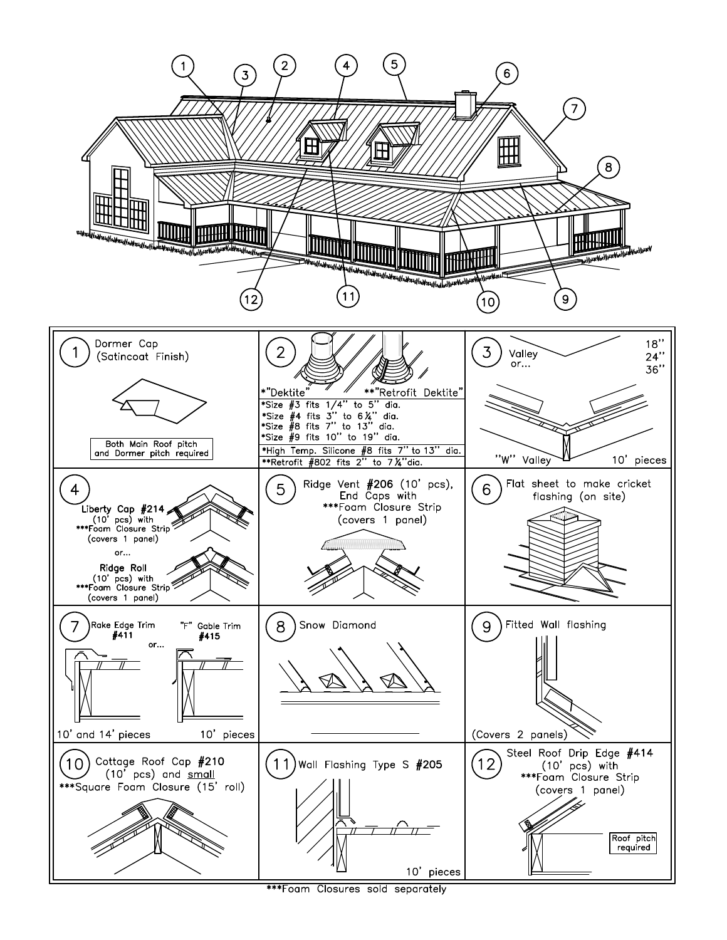

\*\*\*Foam Closures sold separately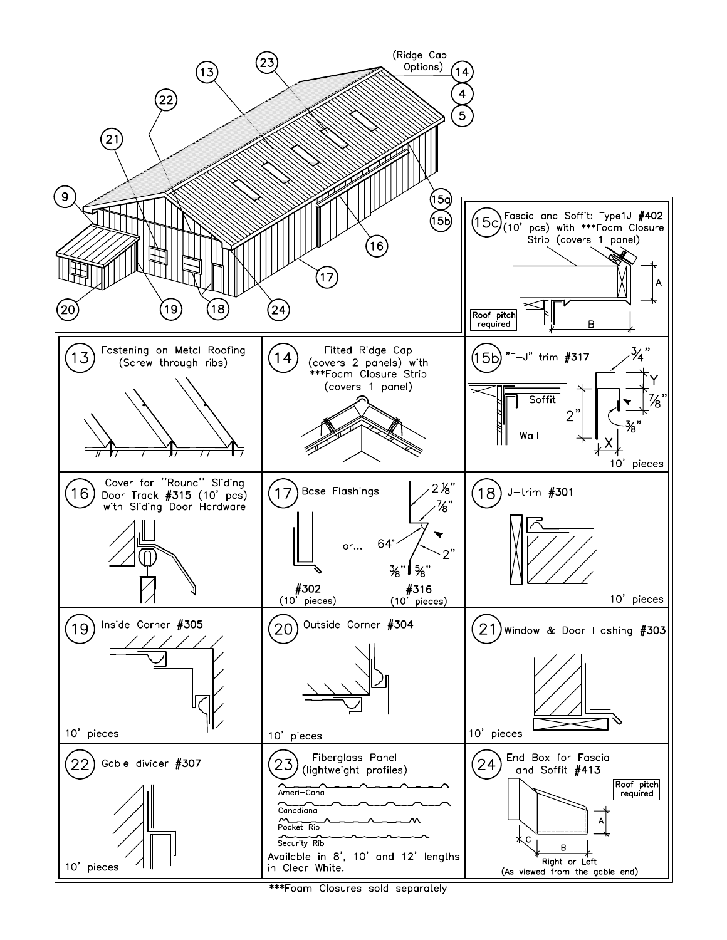

\*\*\*Foam Closures sold separately